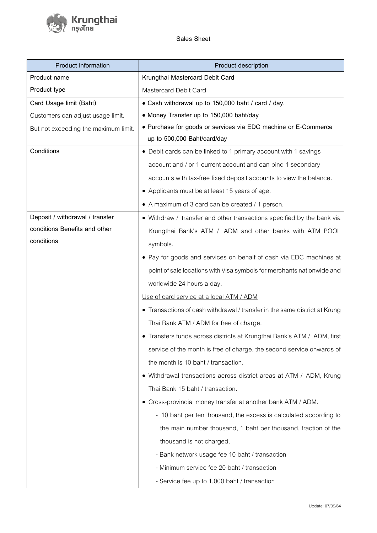**Sales Sheet**

์ Krungthai<br>/ <sup>กรุงไทย</sup>

| <b>Product information</b>           | Product description                                                        |
|--------------------------------------|----------------------------------------------------------------------------|
| Product name                         | Krungthai Mastercard Debit Card                                            |
| Product type                         | Mastercard Debit Card                                                      |
| Card Usage limit (Baht)              | • Cash withdrawal up to 150,000 baht / card / day.                         |
| Customers can adjust usage limit.    | • Money Transfer up to 150,000 baht/day                                    |
| But not exceeding the maximum limit. | • Purchase for goods or services via EDC machine or E-Commerce             |
|                                      | up to 500,000 Baht/card/day                                                |
| Conditions                           | • Debit cards can be linked to 1 primary account with 1 savings            |
|                                      | account and / or 1 current account and can bind 1 secondary                |
|                                      | accounts with tax-free fixed deposit accounts to view the balance.         |
|                                      | • Applicants must be at least 15 years of age.                             |
|                                      | • A maximum of 3 card can be created / 1 person.                           |
| Deposit / withdrawal / transfer      | • Withdraw / transfer and other transactions specified by the bank via     |
| conditions Benefits and other        | Krungthai Bank's ATM / ADM and other banks with ATM POOL                   |
| conditions                           | symbols.                                                                   |
|                                      | • Pay for goods and services on behalf of cash via EDC machines at         |
|                                      | point of sale locations with Visa symbols for merchants nationwide and     |
|                                      | worldwide 24 hours a day.                                                  |
|                                      | Use of card service at a local ATM / ADM                                   |
|                                      | • Transactions of cash withdrawal / transfer in the same district at Krung |
|                                      | Thai Bank ATM / ADM for free of charge.                                    |
|                                      | • Transfers funds across districts at Krungthai Bank's ATM / ADM, first    |
|                                      | service of the month is free of charge, the second service onwards of      |
|                                      | the month is 10 baht / transaction.                                        |
|                                      | • Withdrawal transactions across district areas at ATM / ADM, Krung        |
|                                      | Thai Bank 15 baht / transaction.                                           |
|                                      | • Cross-provincial money transfer at another bank ATM / ADM.               |
|                                      | - 10 baht per ten thousand, the excess is calculated according to          |
|                                      | the main number thousand, 1 baht per thousand, fraction of the             |
|                                      | thousand is not charged.                                                   |
|                                      | - Bank network usage fee 10 baht / transaction                             |
|                                      | - Minimum service fee 20 baht / transaction                                |
|                                      | - Service fee up to 1,000 baht / transaction                               |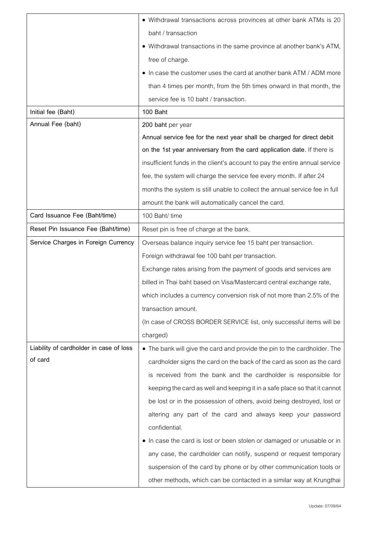|                                         | • Withdrawal transactions across provinces at other bank ATMs is 20         |
|-----------------------------------------|-----------------------------------------------------------------------------|
|                                         | baht / transaction                                                          |
|                                         | • Withdrawal transactions in the same province at another bank's ATM,       |
|                                         | free of charge.                                                             |
|                                         | • In case the customer uses the card at another bank ATM / ADM more         |
|                                         | than 4 times per month, from the 5th times onward in that month, the        |
|                                         | service fee is 10 baht / transaction.                                       |
| Initial fee (Baht)                      | 100 Baht                                                                    |
| Annual Fee (baht)                       | 200 baht per year                                                           |
|                                         | Annual service fee for the next year shall be charged for direct debit      |
|                                         | on the 1st year anniversary from the card application date. If there is     |
|                                         | insufficient funds in the client's account to pay the entire annual service |
|                                         | fee, the system will charge the service fee every month. If after 24        |
|                                         | months the system is still unable to collect the annual service fee in full |
|                                         | amount the bank will automatically cancel the card.                         |
| Card Issuance Fee (Baht/time)           | 100 Baht/ time                                                              |
| Reset Pin Issuance Fee (Baht/time)      | Reset pin is free of charge at the bank.                                    |
| Service Charges in Foreign Currency     | Overseas balance inquiry service fee 15 baht per transaction.               |
|                                         | Foreign withdrawal fee 100 baht per transaction.                            |
|                                         | Exchange rates arising from the payment of goods and services are           |
|                                         | billed in Thai baht based on Visa/Mastercard central exchange rate,         |
|                                         | which includes a currency conversion risk of not more than 2.5% of the      |
|                                         | transaction amount.                                                         |
|                                         | (In case of CROSS BORDER SERVICE list, only successful items will be        |
|                                         | charged)                                                                    |
| Liability of cardholder in case of loss | • The bank will give the card and provide the pin to the cardholder. The    |
| of card                                 | cardholder signs the card on the back of the card as soon as the card       |
|                                         | is received from the bank and the cardholder is responsible for             |
|                                         | keeping the card as well and keeping it in a safe place so that it cannot   |
|                                         | be lost or in the possession of others, avoid being destroyed, lost or      |
|                                         | altering any part of the card and always keep your password                 |
|                                         | confidential.                                                               |
|                                         | • In case the card is lost or been stolen or damaged or unusable or in      |
|                                         | any case, the cardholder can notify, suspend or request temporary           |
|                                         | suspension of the card by phone or by other communication tools or          |
|                                         | other methods, which can be contacted in a similar way at Krungthai         |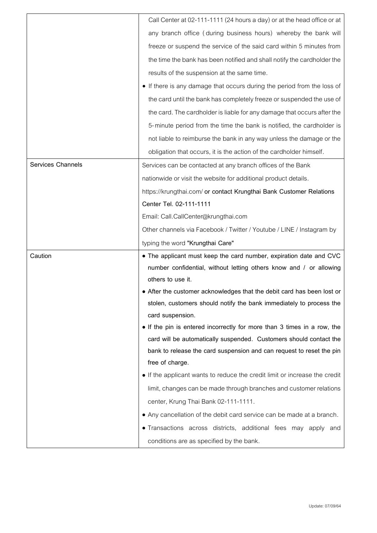|                          | Call Center at 02-111-1111 (24 hours a day) or at the head office or at                                    |
|--------------------------|------------------------------------------------------------------------------------------------------------|
|                          | any branch office (during business hours) whereby the bank will                                            |
|                          | freeze or suspend the service of the said card within 5 minutes from                                       |
|                          | the time the bank has been notified and shall notify the cardholder the                                    |
|                          | results of the suspension at the same time.                                                                |
|                          | • If there is any damage that occurs during the period from the loss of                                    |
|                          | the card until the bank has completely freeze or suspended the use of                                      |
|                          | the card. The cardholder is liable for any damage that occurs after the                                    |
|                          | 5-minute period from the time the bank is notified, the cardholder is                                      |
|                          | not liable to reimburse the bank in any way unless the damage or the                                       |
|                          | obligation that occurs, it is the action of the cardholder himself.                                        |
| <b>Services Channels</b> | Services can be contacted at any branch offices of the Bank                                                |
|                          | nationwide or visit the website for additional product details.                                            |
|                          | https://krungthai.com/ or contact Krungthai Bank Customer Relations                                        |
|                          | Center Tel. 02-111-1111                                                                                    |
|                          | Email: Call.CallCenter@krungthai.com                                                                       |
|                          | Other channels via Facebook / Twitter / Youtube / LINE / Instagram by                                      |
|                          | typing the word "Krungthai Care"                                                                           |
|                          |                                                                                                            |
| Caution                  | • The applicant must keep the card number, expiration date and CVC                                         |
|                          | number confidential, without letting others know and / or allowing                                         |
|                          | others to use it.                                                                                          |
|                          | • After the customer acknowledges that the debit card has been lost or                                     |
|                          | stolen, customers should notify the bank immediately to process the                                        |
|                          | card suspension.                                                                                           |
|                          | • If the pin is entered incorrectly for more than 3 times in a row, the                                    |
|                          | card will be automatically suspended. Customers should contact the                                         |
|                          | bank to release the card suspension and can request to reset the pin                                       |
|                          | free of charge.                                                                                            |
|                          | • If the applicant wants to reduce the credit limit or increase the credit                                 |
|                          | limit, changes can be made through branches and customer relations                                         |
|                          | center, Krung Thai Bank 02-111-1111.                                                                       |
|                          | • Any cancellation of the debit card service can be made at a branch.                                      |
|                          | . Transactions across districts, additional fees may apply and<br>conditions are as specified by the bank. |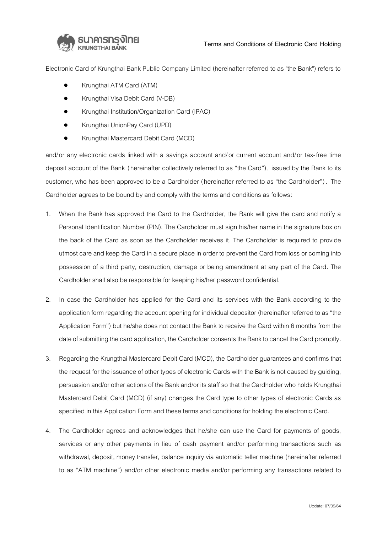

Electronic Card of Krungthai Bank Public Company Limited (hereinafter referred to as "the Bank") refers to

- Krungthai ATM Card (ATM)
- Krungthai Visa Debit Card (V-DB)
- Krungthai Institution/Organization Card (IPAC)
- Krungthai UnionPay Card (UPD)
- Krungthai Mastercard Debit Card (MCD)

and/or any electronic cards linked with a savings account and/or current account and/or tax-free time deposit account of the Bank (hereinafter collectively referred to as "the Card"), issued by the Bank to its customer, who has been approved to be a Cardholder (hereinafter referred to as "the Cardholder"). The Cardholder agrees to be bound by and comply with the terms and conditions as follows:

- 1. When the Bank has approved the Card to the Cardholder, the Bank will give the card and notify a Personal Identification Number (PIN). The Cardholder must sign his/her name in the signature box on the back of the Card as soon as the Cardholder receives it. The Cardholder is required to provide utmost care and keep the Card in a secure place in order to prevent the Card from loss or coming into possession of a third party, destruction, damage or being amendment at any part of the Card. The Cardholder shall also be responsible for keeping his/her password confidential.
- 2. In case the Cardholder has applied for the Card and its services with the Bank according to the application form regarding the account opening for individual depositor (hereinafter referred to as "the Application Form") but he/she does not contact the Bank to receive the Card within 6 months from the date of submitting the card application, the Cardholder consents the Bank to cancel the Card promptly.
- 3. Regarding the Krungthai Mastercard Debit Card (MCD), the Cardholder guarantees and confirms that the request for the issuance of other types of electronic Cards with the Bank is not caused by guiding, persuasion and/or other actions of the Bank and/or its staff so that the Cardholder who holds Krungthai Mastercard Debit Card (MCD) (if any) changes the Card type to other types of electronic Cards as specified in this Application Form and these terms and conditions for holding the electronic Card.
- 4. The Cardholder agrees and acknowledges that he/she can use the Card for payments of goods, services or any other payments in lieu of cash payment and/or performing transactions such as withdrawal, deposit, money transfer, balance inquiry via automatic teller machine (hereinafter referred to as "ATM machine") and/or other electronic media and/or performing any transactions related to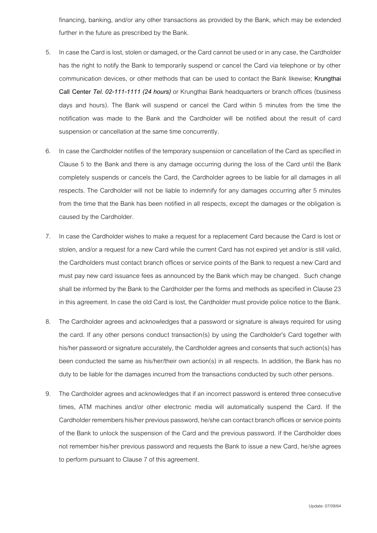financing, banking, and/or any other transactions as provided by the Bank, which may be extended further in the future as prescribed by the Bank.

- 5. In case the Card is lost, stolen or damaged, or the Card cannot be used or in any case, the Cardholder has the right to notify the Bank to temporarily suspend or cancel the Card via telephone or by other communication devices, or other methods that can be used to contact the Bank likewise; **Krungthai Call Center** *Tel. 02-111-1111 (24 hours)* or Krungthai Bank headquarters or branch offices (business days and hours). The Bank will suspend or cancel the Card within 5 minutes from the time the notification was made to the Bank and the Cardholder will be notified about the result of card suspension or cancellation at the same time concurrently.
- 6. In case the Cardholder notifies of the temporary suspension or cancellation of the Card as specified in Clause 5 to the Bank and there is any damage occurring during the loss of the Card until the Bank completely suspends or cancels the Card, the Cardholder agrees to be liable for all damages in all respects. The Cardholder will not be liable to indemnify for any damages occurring after 5 minutes from the time that the Bank has been notified in all respects, except the damages or the obligation is caused by the Cardholder.
- 7. In case the Cardholder wishes to make a request for a replacement Card because the Card is lost or stolen, and/or a request for a new Card while the current Card has not expired yet and/or is still valid, the Cardholders must contact branch offices or service points of the Bank to request a new Card and must pay new card issuance fees as announced by the Bank which may be changed. Such change shall be informed by the Bank to the Cardholder per the forms and methods as specified in Clause 23 in this agreement. In case the old Card is lost, the Cardholder must provide police notice to the Bank.
- 8. The Cardholder agrees and acknowledges that a password or signature is always required for using the card. If any other persons conduct transaction(s) by using the Cardholder's Card together with his/her password or signature accurately, the Cardholder agrees and consents that such action(s) has been conducted the same as his/her/their own action(s) in all respects. In addition, the Bank has no duty to be liable for the damages incurred from the transactions conducted by such other persons.
- 9. The Cardholder agrees and acknowledges that if an incorrect password is entered three consecutive times, ATM machines and/or other electronic media will automatically suspend the Card. If the Cardholder remembers his/her previous password, he/she can contact branch offices or service points of the Bank to unlock the suspension of the Card and the previous password. If the Cardholder does not remember his/her previous password and requests the Bank to issue a new Card, he/she agrees to perform pursuant to Clause 7 of this agreement.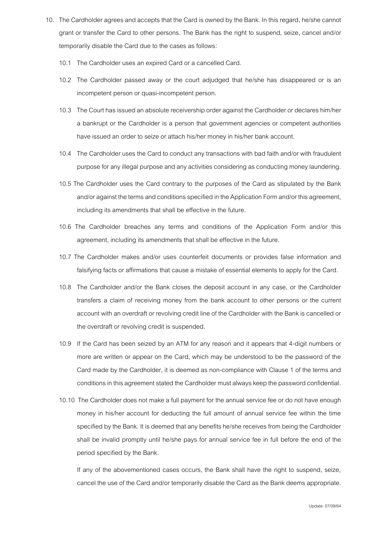- 10. The Cardholder agrees and accepts that the Card is owned by the Bank. In this regard, he/she cannot grant or transfer the Card to other persons. The Bank has the right to suspend, seize, cancel and/or temporarily disable the Card due to the cases as follows:
	- 10.1 The Cardholder uses an expired Card or a cancelled Card.
	- 10.2 The Cardholder passed away or the court adjudged that he/she has disappeared or is an incompetent person or quasi-incompetent person.
	- 10.3 The Court has issued an absolute receivership order against the Cardholder or declares him/her a bankrupt or the Cardholder is a person that government agencies or competent authorities have issued an order to seize or attach his/her money in his/her bank account.
	- 10.4 The Cardholder uses the Card to conduct any transactions with bad faith and/or with fraudulent purpose for any illegal purpose and any activities considering as conducting money laundering.
	- 10.5 The Cardholder uses the Card contrary to the purposes of the Card as stipulated by the Bank and/or against the terms and conditions specified in the Application Form and/or this agreement, including its amendments that shall be effective in the future.
	- 10.6 The Cardholder breaches any terms and conditions of the Application Form and/or this agreement, including its amendments that shall be effective in the future.
	- 10.7 The Cardholder makes and/or uses counterfeit documents or provides false information and falsifying facts or affirmations that cause a mistake of essential elements to apply for the Card.
	- 10.8 The Cardholder and/or the Bank closes the deposit account in any case, or the Cardholder transfers a claim of receiving money from the bank account to other persons or the current account with an overdraft or revolving credit line of the Cardholder with the Bank is cancelled or the overdraft or revolving credit is suspended.
	- 10.9 If the Card has been seized by an ATM for any reason and it appears that 4-digit numbers or more are written or appear on the Card, which may be understood to be the password of the Card made by the Cardholder, it is deemed as non-compliance with Clause 1 of the terms and conditions in this agreement stated the Cardholder must always keep the password confidential.
	- 10.10 The Cardholder does not make a full payment for the annual service fee or do not have enough money in his/her account for deducting the full amount of annual service fee within the time specified by the Bank. It is deemed that any benefits he/she receives from being the Cardholder shall be invalid promptly until he/she pays for annual service fee in full before the end of the period specified by the Bank.

If any of the abovementioned cases occurs, the Bank shall have the right to suspend, seize, cancel the use of the Card and/or temporarily disable the Card as the Bank deems appropriate.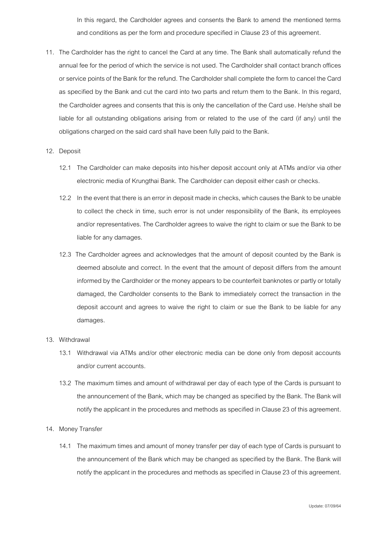In this regard, the Cardholder agrees and consents the Bank to amend the mentioned terms and conditions as per the form and procedure specified in Clause 23 of this agreement.

11. The Cardholder has the right to cancel the Card at any time. The Bank shall automatically refund the annual fee for the period of which the service is not used. The Cardholder shallcontact branch offices or service points of the Bank for the refund. The Cardholder shall complete the form to cancel the Card as specified by the Bank and cut the card into two parts and return them to the Bank. In this regard, the Cardholder agrees and consents that this is only the cancellation of the Card use. He/she shall be liable for all outstanding obligations arising from or related to the use of the card (if any) until the obligations charged on the said card shall have been fully paid to the Bank.

## 12. Deposit

- 12.1 The Cardholder can make deposits into his/her deposit account only at ATMs and/or via other electronic media of Krungthai Bank. The Cardholder can deposit either cash or checks.
- 12.2 In the event that there is an error in deposit made in checks, which causes the Bank to be unable to collect the check in time, such error is not under responsibility of the Bank, its employees and/or representatives. The Cardholder agrees to waive the right to claim or sue the Bank to be liable for any damages.
- 12.3 The Cardholder agrees and acknowledges that the amount of deposit counted by the Bank is deemed absolute and correct. In the event that the amount of deposit differs from the amount informed by the Cardholder or the money appears to be counterfeit banknotes or partly or totally damaged, the Cardholder consents to the Bank to immediately correct the transaction in the deposit account and agrees to waive the right to claim or sue the Bank to be liable for any damages.

## 13. Withdrawal

- 13.1 Withdrawal via ATMs and/or other electronic media can be done only from deposit accounts and/or current accounts.
- 13.2 The maximum tiimes and amount of withdrawal per day of each type of the Cards is pursuant to the announcement of the Bank, which may be changed as specified by the Bank. The Bank will notify the applicant in the procedures and methods as specified in Clause 23 of this agreement.

## 14. Money Transfer

14.1 The maximum times and amount of money transfer per day of each type of Cards is pursuant to the announcement of the Bank which may be changed as specified by the Bank. The Bank will notify the applicant in the procedures and methods as specified in Clause 23 of this agreement.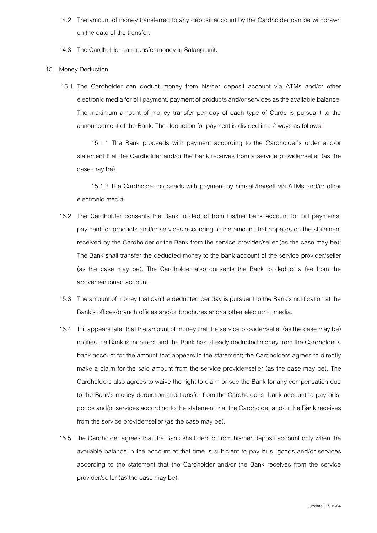- 14.2 The amount of money transferred to any deposit account by the Cardholder can be withdrawn on the date of the transfer.
- 14.3 The Cardholder can transfer money in Satang unit.

## 15. Money Deduction

15.1 The Cardholder can deduct money from his/her deposit account via ATMs and/or other electronic media for bill payment, payment of products and/or services as the available balance. The maximum amount of money transfer per day of each type of Cards is pursuant to the announcement of the Bank. The deduction for payment is divided into 2 ways as follows:

15.1.1 The Bank proceeds with payment according to the Cardholder's order and/or statement that the Cardholder and/or the Bank receives from a service provider/seller (as the case may be).

15.1.2 The Cardholder proceeds with payment by himself/herself via ATMs and/or other electronic media.

- 15.2 The Cardholder consents the Bank to deduct from his/her bank account for bill payments, payment for products and/or services according to the amount that appears on the statement received by the Cardholder or the Bank from the service provider/seller (as the case may be); The Bank shall transfer the deducted money to the bank account of the service provider/seller (as the case may be). The Cardholder also consents the Bank to deduct a fee from the abovementioned account.
- 15.3 The amount of money that can be deducted per day is pursuant to the Bank's notification at the Bank's offices/branch offices and/or brochures and/or other electronic media.
- 15.4 If it appears later that the amount of money that the service provider/seller (as the case may be) notifies the Bank is incorrect and the Bank has already deducted money from the Cardholder's bank account for the amount that appears in the statement; the Cardholders agrees to directly make a claim for the said amount from the service provider/seller (as the case may be). The Cardholders also agrees to waive the right to claim or sue the Bank for any compensation due to the Bank's money deduction and transfer from the Cardholder's bank account to pay bills, goods and/or services according to the statement that the Cardholder and/or the Bank receives from the service provider/seller (as the case may be).
- 15.5 The Cardholder agrees that the Bank shall deduct from his/her deposit account only when the available balance in the account at that time is sufficient to pay bills, goods and/or services according to the statement that the Cardholder and/or the Bank receives from the service provider/seller (as the case may be).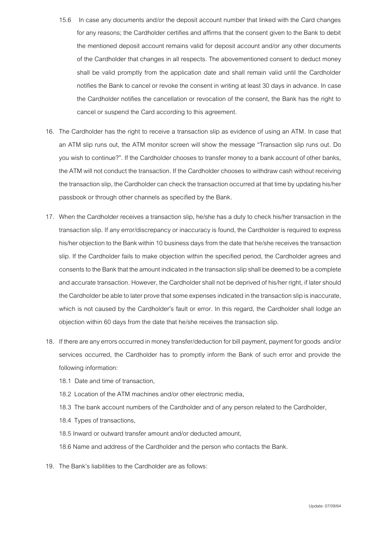- 15.6 In case any documents and/or the deposit account number that linked with the Card changes for any reasons; the Cardholder certifies and affirms that the consent given to the Bank to debit the mentioned deposit account remains valid for deposit account and/or any other documents of the Cardholder that changes in all respects. The abovementioned consent to deduct money shall be valid promptly from the application date and shall remain valid until the Cardholder notifies the Bank to cancel or revoke the consent in writing at least 30 days in advance. In case the Cardholder notifies the cancellation or revocation of the consent, the Bank has the right to cancel or suspend the Card according to this agreement.
- 16. The Cardholder has the right to receive a transaction slip as evidence of using an ATM. In case that an ATM slip runs out, the ATM monitor screen will show the message "Transaction slip runs out. Do you wish to continue?". If the Cardholder chooses to transfer money to a bank account of other banks, the ATM will not conduct the transaction. If the Cardholder chooses to withdraw cash without receiving the transaction slip, the Cardholder can check the transaction occurred at that time by updating his/her passbook or through other channels as specified by the Bank.
- 17. When the Cardholder receives a transaction slip, he/she has a duty to check his/her transaction in the transaction slip. If any error/discrepancy or inaccuracy is found, the Cardholder is required to express his/her objection to the Bank within 10 business days from the date that he/she receives the transaction slip. If the Cardholder fails to make objection within the specified period, the Cardholder agrees and consents to the Bank that the amount indicated in the transaction slip shall be deemed to be a complete and accurate transaction. However, the Cardholder shall not be deprived of his/her right, if later should the Cardholder be able to later prove that some expenses indicated in the transaction slip is inaccurate, which is not caused by the Cardholder's fault or error. In this regard, the Cardholder shall lodge an objection within 60 days from the date that he/she receives the transaction slip.
- 18. If there are any errors occurred in money transfer/deduction for bill payment, payment for goods and/or services occurred, the Cardholder has to promptly inform the Bank of such error and provide the following information:
	- 18.1 Date and time of transaction,
	- 18.2 Location of the ATM machines and/or other electronic media,
	- 18.3 The bank account numbers of the Cardholder and of any person related to the Cardholder,
	- 18.4 Types of transactions,
	- 18.5 Inward or outward transfer amount and/or deducted amount,
	- 18.6 Name and address of the Cardholder and the person who contacts the Bank.
- 19. The Bank's liabilities to the Cardholder are as follows: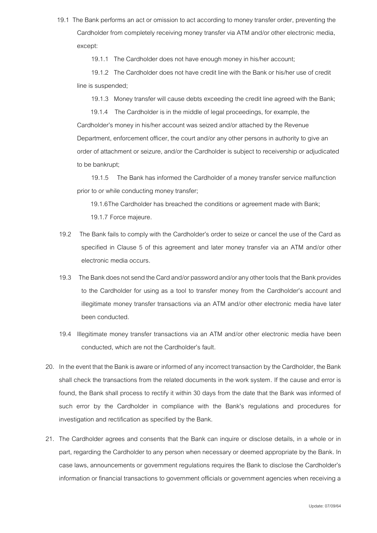19.1 The Bank performs an act or omission to act according to money transfer order, preventing the Cardholder from completely receiving money transfer via ATM and/or other electronic media, except:

19.1.1 The Cardholder does not have enough money in his/her account;

19.1.2 The Cardholder does not have credit line with the Bank or his/her use of credit line is suspended;

19.1.3 Money transfer will cause debts exceeding the credit line agreed with the Bank;

19.1.4 The Cardholder is in the middle of legal proceedings, for example, the Cardholder's money in his/her account was seized and/or attached by the Revenue Department, enforcement officer, the court and/or any other persons in authority to give an order of attachment or seizure, and/or the Cardholder is subject to receivership or adjudicated to be bankrupt;

 19.1.5 The Bank has informed the Cardholder of a money transfer service malfunction prior to or while conducting money transfer;

19.1.6The Cardholder has breached the conditions or agreement made with Bank; 19.1.7 Force majeure.

- 19.2 The Bank fails to comply with the Cardholder's order to seize or cancel the use of the Card as specified in Clause 5 of this agreement and later money transfer via an ATM and/or other electronic media occurs.
- 19.3 The Bank does not send the Card and/or password and/or any other tools that the Bank provides to the Cardholder for using as a tool to transfer money from the Cardholder's account and illegitimate money transfer transactions via an ATM and/or other electronic media have later been conducted.
- 19.4 Illegitimate money transfer transactions via an ATM and/or other electronic media have been conducted, which are not the Cardholder's fault.
- 20. In the event that the Bank is aware or informed of any incorrect transaction by the Cardholder, the Bank shall check the transactions from the related documents in the work system. If the cause and error is found, the Bank shall process to rectify it within 30 days from the date that the Bank was informed of such error by the Cardholder in compliance with the Bank's regulations and procedures for investigation and rectification as specified by the Bank.
- 21. The Cardholder agrees and consents that the Bank can inquire or disclose details, in a whole or in part, regarding the Cardholder to any person when necessary or deemed appropriate by the Bank. In case laws, announcements or government regulations requires the Bank to disclose the Cardholder's information or financial transactions to government officials or government agencies when receiving a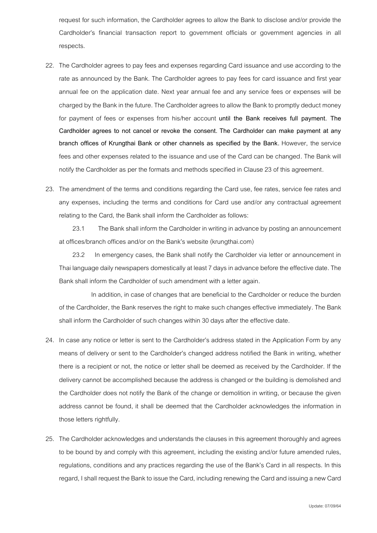request for such information, the Cardholder agrees to allow the Bank to disclose and/or provide the Cardholder's financial transaction report to government officials or government agencies in all respects.

- 22. The Cardholder agrees to pay fees and expenses regarding Card issuance and use according to the rate as announced by the Bank. The Cardholder agrees to pay fees for card issuance and first year annual fee on the application date. Next year annual fee and any service fees or expenses will be charged by the Bank in the future. The Cardholder agrees to allow the Bank to promptly deduct money for payment of fees or expenses from his/her account **until the Bank receives full payment. The Cardholder agrees to not cancel or revoke the consent. The Cardholder can make payment at any branch offices of Krungthai Bank or other channels as specified by the Bank.** However, the service fees and other expenses related to the issuance and use of the Card can be changed. The Bank will notify the Cardholder as per the formats and methods specified in Clause 23 of this agreement.
- 23. The amendment of the terms and conditions regarding the Card use, fee rates, service fee rates and any expenses, including the terms and conditions for Card use and/or any contractual agreement relating to the Card, the Bank shall inform the Cardholder as follows:

23.1 The Bank shall inform the Cardholder in writing in advance by posting an announcement at offices/branch offices and/or on the Bank's website (krungthai.com)

23.2 In emergency cases, the Bank shall notify the Cardholder via letter or announcement in Thai language daily newspapers domestically at least 7 days in advance before the effective date. The Bank shall inform the Cardholder of such amendment with a letter again.

In addition, in case of changes that are beneficial to the Cardholder or reduce the burden of the Cardholder, the Bank reserves the right to make such changes effective immediately. The Bank shall inform the Cardholder of such changes within 30 days after the effective date.

- 24. In case any notice or letter is sent to the Cardholder's address stated in the Application Form by any means of delivery or sent to the Cardholder's changed address notified the Bank in writing, whether there is a recipient or not, the notice or letter shall be deemed as received by the Cardholder. If the delivery cannot be accomplished because the address is changed or the building is demolished and the Cardholder does not notify the Bank of the change or demolition in writing, or because the given address cannot be found, it shall be deemed that the Cardholder acknowledges the information in those letters rightfully.
- 25. The Cardholder acknowledges and understands the clauses in this agreement thoroughly and agrees to be bound by and comply with this agreement, including the existing and/or future amended rules, regulations, conditions and any practices regarding the use of the Bank's Card in all respects. In this regard, I shall request the Bank to issue the Card, including renewing the Card and issuing a new Card